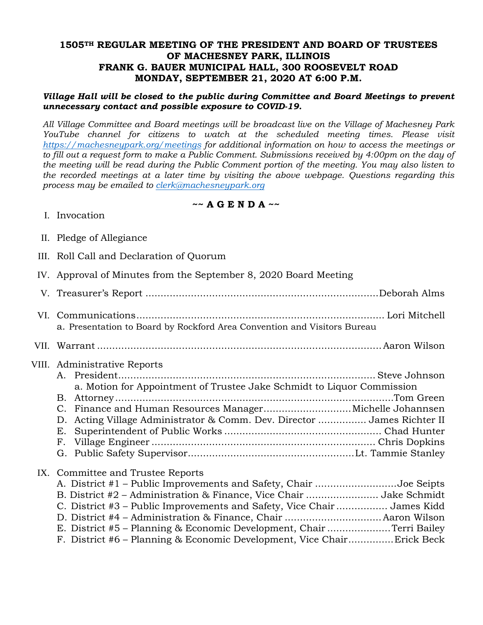## **1505TH REGULAR MEETING OF THE PRESIDENT AND BOARD OF TRUSTEES OF MACHESNEY PARK, ILLINOIS FRANK G. BAUER MUNICIPAL HALL, 300 ROOSEVELT ROAD MONDAY, SEPTEMBER 21, 2020 AT 6:00 P.M.**

## *Village Hall will be closed to the public during Committee and Board Meetings to prevent unnecessary contact and possible exposure to COVID-19.*

*All Village Committee and Board meetings will be broadcast live on the Village of Machesney Park YouTube channel for citizens to watch at the scheduled meeting times. Please visit https://machesneypark.org/meetings for additional information on how to access the meetings or to fill out a request form to make a Public Comment. Submissions received by 4:00pm on the day of the meeting will be read during the Public Comment portion of the meeting. You may also listen to the recorded meetings at a later time by visiting the above webpage. Questions regarding this process may be emailed to clerk@machesneypark.org*

## **~~ A G E N D A ~~**

- I. Invocation
- II. Pledge of Allegiance
- III. Roll Call and Declaration of Quorum
- IV. Approval of Minutes from the September 8, 2020 Board Meeting
- V. Treasurer's Report ............................................................................. Deborah Alms VI. Communications .................................................................................. Lori Mitchell a. Presentation to Board by Rockford Area Convention and Visitors Bureau VII. Warrant .............................................................................................. Aaron Wilson VIII. Administrative Reports A. President ..................................................................................... Steve Johnson a. Motion for Appointment of Trustee Jake Schmidt to Liquor Commission B. Attorney ............................................................................................ Tom Green C. Finance and Human Resources Manager ............................. Michelle Johannsen D. Acting Village Administrator & Comm. Dev. Director ................ James Richter II E. Superintendent of Public Works .................................................... Chad Hunter F. Village Engineer .......................................................................... Chris Dopkins G. Public Safety Supervisor ....................................................... Lt. Tammie Stanley IX. Committee and Trustee Reports

| A. District #1 – Public Improvements and Safety, Chair Joe Seipts       |  |
|-------------------------------------------------------------------------|--|
| B. District #2 - Administration & Finance, Vice Chair Jake Schmidt      |  |
| C. District #3 – Public Improvements and Safety, Vice Chair  James Kidd |  |
|                                                                         |  |
| E. District #5 – Planning & Economic Development, Chair Terri Bailey    |  |
| F. District #6 - Planning & Economic Development, Vice ChairErick Beck  |  |